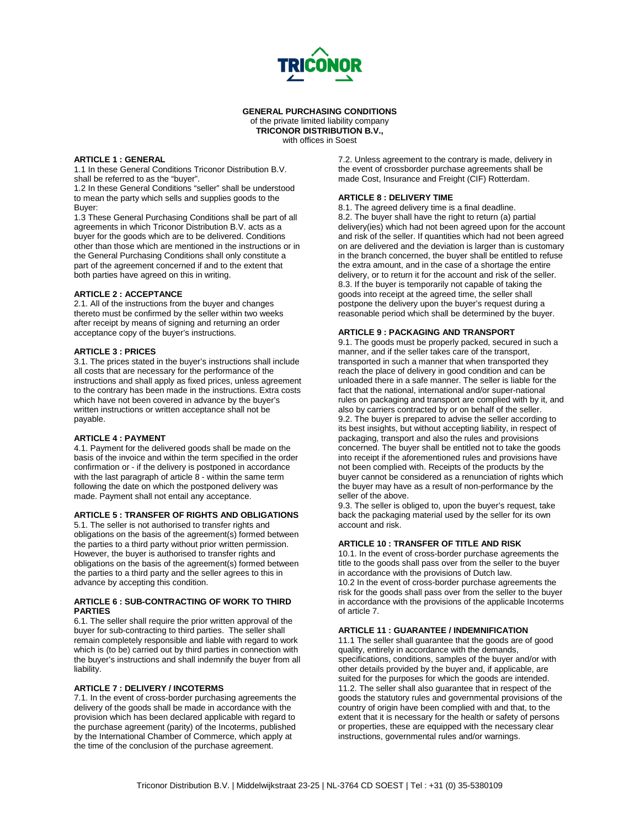

**GENERAL PURCHASING CONDITIONS** of the private limited liability company **TRICONOR DISTRIBUTION B.V.,**

with offices in Soest

### **ARTICLE 1 : GENERAL**

1.1 In these General Conditions Triconor Distribution B.V. shall be referred to as the "buyer".

1.2 In these General Conditions "seller" shall be understood to mean the party which sells and supplies goods to the Buyer:

1.3 These General Purchasing Conditions shall be part of all agreements in which Triconor Distribution B.V. acts as a buyer for the goods which are to be delivered. Conditions other than those which are mentioned in the instructions or in the General Purchasing Conditions shall only constitute a part of the agreement concerned if and to the extent that both parties have agreed on this in writing.

### **ARTICLE 2 : ACCEPTANCE**

2.1. All of the instructions from the buyer and changes thereto must be confirmed by the seller within two weeks after receipt by means of signing and returning an order acceptance copy of the buyer's instructions.

### **ARTICLE 3 : PRICES**

3.1. The prices stated in the buyer's instructions shall include all costs that are necessary for the performance of the instructions and shall apply as fixed prices, unless agreement to the contrary has been made in the instructions. Extra costs which have not been covered in advance by the buyer's written instructions or written acceptance shall not be payable.

#### **ARTICLE 4 : PAYMENT**

4.1. Payment for the delivered goods shall be made on the basis of the invoice and within the term specified in the order confirmation or - if the delivery is postponed in accordance with the last paragraph of article 8 - within the same term following the date on which the postponed delivery was made. Payment shall not entail any acceptance.

# **ARTICLE 5 : TRANSFER OF RIGHTS AND OBLIGATIONS**

5.1. The seller is not authorised to transfer rights and obligations on the basis of the agreement(s) formed between the parties to a third party without prior written permission. However, the buyer is authorised to transfer rights and obligations on the basis of the agreement(s) formed between the parties to a third party and the seller agrees to this in advance by accepting this condition.

#### **ARTICLE 6 : SUB-CONTRACTING OF WORK TO THIRD PARTIES**

6.1. The seller shall require the prior written approval of the buyer for sub-contracting to third parties. The seller shall remain completely responsible and liable with regard to work which is (to be) carried out by third parties in connection with the buyer's instructions and shall indemnify the buyer from all liability.

### **ARTICLE 7 : DELIVERY / INCOTERMS**

7.1. In the event of cross-border purchasing agreements the delivery of the goods shall be made in accordance with the provision which has been declared applicable with regard to the purchase agreement (parity) of the Incoterms, published by the International Chamber of Commerce, which apply at the time of the conclusion of the purchase agreement.

7.2. Unless agreement to the contrary is made, delivery in the event of crossborder purchase agreements shall be made Cost, Insurance and Freight (CIF) Rotterdam.

# **ARTICLE 8 : DELIVERY TIME**

8.1. The agreed delivery time is a final deadline. 8.2. The buyer shall have the right to return (a) partial delivery(ies) which had not been agreed upon for the account and risk of the seller. If quantities which had not been agreed on are delivered and the deviation is larger than is customary in the branch concerned, the buyer shall be entitled to refuse the extra amount, and in the case of a shortage the entire delivery, or to return it for the account and risk of the seller. 8.3. If the buyer is temporarily not capable of taking the goods into receipt at the agreed time, the seller shall postpone the delivery upon the buyer's request during a reasonable period which shall be determined by the buyer.

### **ARTICLE 9 : PACKAGING AND TRANSPORT**

9.1. The goods must be properly packed, secured in such a manner, and if the seller takes care of the transport, transported in such a manner that when transported they reach the place of delivery in good condition and can be unloaded there in a safe manner. The seller is liable for the fact that the national, international and/or super-national rules on packaging and transport are complied with by it, and also by carriers contracted by or on behalf of the seller. 9.2. The buyer is prepared to advise the seller according to its best insights, but without accepting liability, in respect of packaging, transport and also the rules and provisions concerned. The buyer shall be entitled not to take the goods into receipt if the aforementioned rules and provisions have not been complied with. Receipts of the products by the buyer cannot be considered as a renunciation of rights which the buyer may have as a result of non-performance by the seller of the above.

9.3. The seller is obliged to, upon the buyer's request, take back the packaging material used by the seller for its own account and risk.

# **ARTICLE 10 : TRANSFER OF TITLE AND RISK**

10.1. In the event of cross-border purchase agreements the title to the goods shall pass over from the seller to the buyer in accordance with the provisions of Dutch law.

10.2 In the event of cross-border purchase agreements the risk for the goods shall pass over from the seller to the buyer in accordance with the provisions of the applicable Incoterms of article 7.

### **ARTICLE 11 : GUARANTEE / INDEMNIFICATION**

11.1 The seller shall guarantee that the goods are of good quality, entirely in accordance with the demands, specifications, conditions, samples of the buyer and/or with other details provided by the buyer and, if applicable, are suited for the purposes for which the goods are intended. 11.2. The seller shall also guarantee that in respect of the goods the statutory rules and governmental provisions of the country of origin have been complied with and that, to the extent that it is necessary for the health or safety of persons or properties, these are equipped with the necessary clear instructions, governmental rules and/or warnings.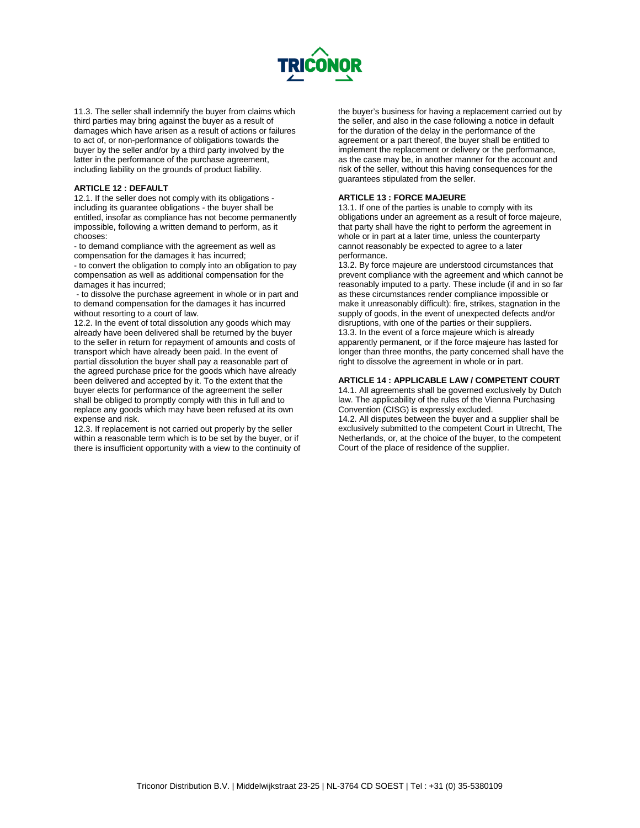

11.3. The seller shall indemnify the buyer from claims which third parties may bring against the buyer as a result of damages which have arisen as a result of actions or failures to act of, or non-performance of obligations towards the buyer by the seller and/or by a third party involved by the latter in the performance of the purchase agreement, including liability on the grounds of product liability.

# **ARTICLE 12 : DEFAULT**

12.1. If the seller does not comply with its obligations including its guarantee obligations - the buyer shall be entitled, insofar as compliance has not become permanently impossible, following a written demand to perform, as it chooses:

- to demand compliance with the agreement as well as compensation for the damages it has incurred;

- to convert the obligation to comply into an obligation to pay compensation as well as additional compensation for the damages it has incurred;

- to dissolve the purchase agreement in whole or in part and to demand compensation for the damages it has incurred without resorting to a court of law.

12.2. In the event of total dissolution any goods which may already have been delivered shall be returned by the buyer to the seller in return for repayment of amounts and costs of transport which have already been paid. In the event of partial dissolution the buyer shall pay a reasonable part of the agreed purchase price for the goods which have already been delivered and accepted by it. To the extent that the buyer elects for performance of the agreement the seller shall be obliged to promptly comply with this in full and to replace any goods which may have been refused at its own expense and risk.

12.3. If replacement is not carried out properly by the seller within a reasonable term which is to be set by the buyer, or if there is insufficient opportunity with a view to the continuity of

the buyer's business for having a replacement carried out by the seller, and also in the case following a notice in default for the duration of the delay in the performance of the agreement or a part thereof, the buyer shall be entitled to implement the replacement or delivery or the performance, as the case may be, in another manner for the account and risk of the seller, without this having consequences for the guarantees stipulated from the seller.

### **ARTICLE 13 : FORCE MAJEURE**

13.1. If one of the parties is unable to comply with its obligations under an agreement as a result of force majeure, that party shall have the right to perform the agreement in whole or in part at a later time, unless the counterparty cannot reasonably be expected to agree to a later performance.

13.2. By force majeure are understood circumstances that prevent compliance with the agreement and which cannot be reasonably imputed to a party. These include (if and in so far as these circumstances render compliance impossible or make it unreasonably difficult): fire, strikes, stagnation in the supply of goods, in the event of unexpected defects and/or disruptions, with one of the parties or their suppliers. 13.3. In the event of a force majeure which is already apparently permanent, or if the force majeure has lasted for longer than three months, the party concerned shall have the right to dissolve the agreement in whole or in part.

### **ARTICLE 14 : APPLICABLE LAW / COMPETENT COURT**

14.1. All agreements shall be governed exclusively by Dutch law. The applicability of the rules of the Vienna Purchasing Convention (CISG) is expressly excluded.

14.2. All disputes between the buyer and a supplier shall be exclusively submitted to the competent Court in Utrecht, The Netherlands, or, at the choice of the buyer, to the competent Court of the place of residence of the supplier.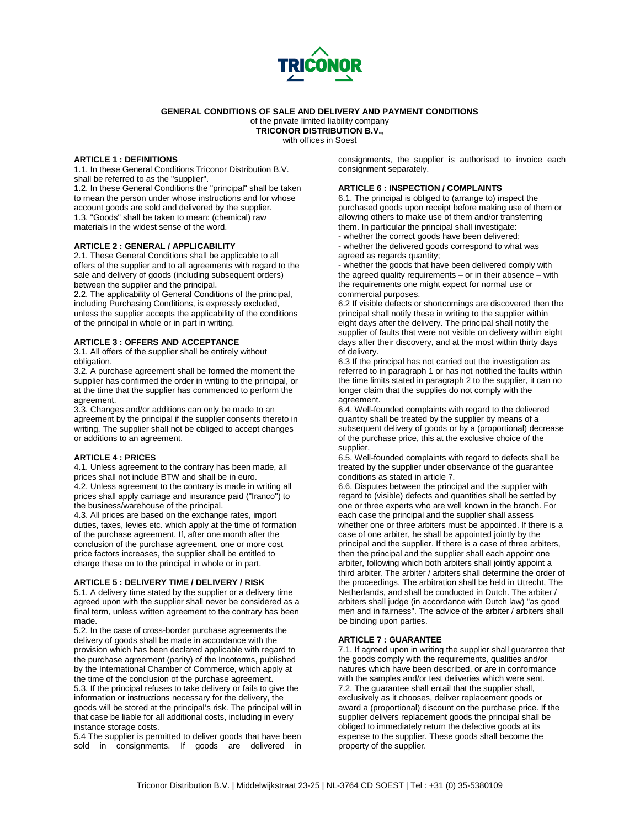

# **GENERAL CONDITIONS OF SALE AND DELIVERY AND PAYMENT CONDITIONS**

of the private limited liability company

**TRICONOR DISTRIBUTION B.V.,**

with offices in Soest

# **ARTICLE 1 : DEFINITIONS**

1.1. In these General Conditions Triconor Distribution B.V. shall be referred to as the "supplier".

1.2. In these General Conditions the "principal" shall be taken to mean the person under whose instructions and for whose account goods are sold and delivered by the supplier. 1.3. "Goods" shall be taken to mean: (chemical) raw materials in the widest sense of the word.

### **ARTICLE 2 : GENERAL / APPLICABILITY**

2.1. These General Conditions shall be applicable to all offers of the supplier and to all agreements with regard to the sale and delivery of goods (including subsequent orders) between the supplier and the principal.

2.2. The applicability of General Conditions of the principal, including Purchasing Conditions, is expressly excluded, unless the supplier accepts the applicability of the conditions of the principal in whole or in part in writing.

# **ARTICLE 3 : OFFERS AND ACCEPTANCE**

3.1. All offers of the supplier shall be entirely without obligation.

3.2. A purchase agreement shall be formed the moment the supplier has confirmed the order in writing to the principal, or at the time that the supplier has commenced to perform the agreement.

3.3. Changes and/or additions can only be made to an agreement by the principal if the supplier consents thereto in writing. The supplier shall not be obliged to accept changes or additions to an agreement.

#### **ARTICLE 4 : PRICES**

4.1. Unless agreement to the contrary has been made, all prices shall not include BTW and shall be in euro.

4.2. Unless agreement to the contrary is made in writing all prices shall apply carriage and insurance paid ("franco") to the business/warehouse of the principal.

4.3. All prices are based on the exchange rates, import duties, taxes, levies etc. which apply at the time of formation of the purchase agreement. If, after one month after the conclusion of the purchase agreement, one or more cost price factors increases, the supplier shall be entitled to charge these on to the principal in whole or in part.

### **ARTICLE 5 : DELIVERY TIME / DELIVERY / RISK**

5.1. A delivery time stated by the supplier or a delivery time agreed upon with the supplier shall never be considered as a final term, unless written agreement to the contrary has been made.

5.2. In the case of cross-border purchase agreements the delivery of goods shall be made in accordance with the provision which has been declared applicable with regard to the purchase agreement (parity) of the Incoterms, published by the International Chamber of Commerce, which apply at the time of the conclusion of the purchase agreement. 5.3. If the principal refuses to take delivery or fails to give the information or instructions necessary for the delivery, the goods will be stored at the principal's risk. The principal will in that case be liable for all additional costs, including in every instance storage costs.

5.4 The supplier is permitted to deliver goods that have been sold in consignments. If goods are delivered in

consignments, the supplier is authorised to invoice each consignment separately.

### **ARTICLE 6 : INSPECTION / COMPLAINTS**

6.1. The principal is obliged to (arrange to) inspect the purchased goods upon receipt before making use of them or allowing others to make use of them and/or transferring them. In particular the principal shall investigate: - whether the correct goods have been delivered;

- whether the delivered goods correspond to what was

agreed as regards quantity; - whether the goods that have been delivered comply with the agreed quality requirements – or in their absence – with the requirements one might expect for normal use or commercial purposes.

6.2 If visible defects or shortcomings are discovered then the principal shall notify these in writing to the supplier within eight days after the delivery. The principal shall notify the supplier of faults that were not visible on delivery within eight days after their discovery, and at the most within thirty days of delivery.

6.3 If the principal has not carried out the investigation as referred to in paragraph 1 or has not notified the faults within the time limits stated in paragraph 2 to the supplier, it can no longer claim that the supplies do not comply with the agreement.

6.4. Well-founded complaints with regard to the delivered quantity shall be treated by the supplier by means of a subsequent delivery of goods or by a (proportional) decrease of the purchase price, this at the exclusive choice of the supplier.

6.5. Well-founded complaints with regard to defects shall be treated by the supplier under observance of the guarantee conditions as stated in article 7.

6.6. Disputes between the principal and the supplier with regard to (visible) defects and quantities shall be settled by one or three experts who are well known in the branch. For each case the principal and the supplier shall assess whether one or three arbiters must be appointed. If there is a case of one arbiter, he shall be appointed jointly by the principal and the supplier. If there is a case of three arbiters, then the principal and the supplier shall each appoint one arbiter, following which both arbiters shall jointly appoint a third arbiter. The arbiter / arbiters shall determine the order of the proceedings. The arbitration shall be held in Utrecht, The Netherlands, and shall be conducted in Dutch. The arbiter / arbiters shall judge (in accordance with Dutch law) "as good men and in fairness". The advice of the arbiter / arbiters shall be binding upon parties.

# **ARTICLE 7 : GUARANTEE**

7.1. If agreed upon in writing the supplier shall guarantee that the goods comply with the requirements, qualities and/or natures which have been described, or are in conformance with the samples and/or test deliveries which were sent. 7.2. The guarantee shall entail that the supplier shall, exclusively as it chooses, deliver replacement goods or award a (proportional) discount on the purchase price. If the supplier delivers replacement goods the principal shall be obliged to immediately return the defective goods at its expense to the supplier. These goods shall become the property of the supplier.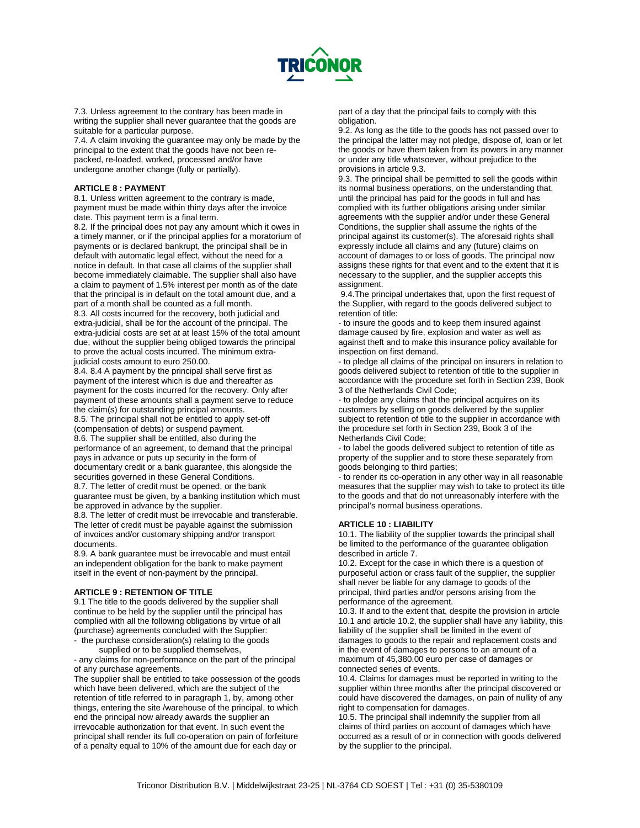

7.3. Unless agreement to the contrary has been made in writing the supplier shall never guarantee that the goods are suitable for a particular purpose.

7.4. A claim invoking the guarantee may only be made by the principal to the extent that the goods have not been repacked, re-loaded, worked, processed and/or have undergone another change (fully or partially).

### **ARTICLE 8 : PAYMENT**

8.1. Unless written agreement to the contrary is made, payment must be made within thirty days after the invoice date. This payment term is a final term.

8.2. If the principal does not pay any amount which it owes in a timely manner, or if the principal applies for a moratorium of payments or is declared bankrupt, the principal shall be in default with automatic legal effect, without the need for a notice in default. In that case all claims of the supplier shall become immediately claimable. The supplier shall also have a claim to payment of 1.5% interest per month as of the date that the principal is in default on the total amount due, and a part of a month shall be counted as a full month.

8.3. All costs incurred for the recovery, both judicial and extra-judicial, shall be for the account of the principal. The extra-judicial costs are set at at least 15% of the total amount due, without the supplier being obliged towards the principal to prove the actual costs incurred. The minimum extrajudicial costs amount to euro 250.00.

8.4. 8.4 A payment by the principal shall serve first as payment of the interest which is due and thereafter as payment for the costs incurred for the recovery. Only after payment of these amounts shall a payment serve to reduce the claim(s) for outstanding principal amounts.

8.5. The principal shall not be entitled to apply set-off (compensation of debts) or suspend payment. 8.6. The supplier shall be entitled, also during the performance of an agreement, to demand that the principal pays in advance or puts up security in the form of documentary credit or a bank guarantee, this alongside the securities governed in these General Conditions.

8.7. The letter of credit must be opened, or the bank guarantee must be given, by a banking institution which must be approved in advance by the supplier.

8.8. The letter of credit must be irrevocable and transferable. The letter of credit must be payable against the submission of invoices and/or customary shipping and/or transport documents.

8.9. A bank guarantee must be irrevocable and must entail an independent obligation for the bank to make payment itself in the event of non-payment by the principal.

#### **ARTICLE 9 : RETENTION OF TITLE**

9.1 The title to the goods delivered by the supplier shall continue to be held by the supplier until the principal has complied with all the following obligations by virtue of all (purchase) agreements concluded with the Supplier: - the purchase consideration(s) relating to the goods

supplied or to be supplied themselves,

- any claims for non-performance on the part of the principal of any purchase agreements.

The supplier shall be entitled to take possession of the goods which have been delivered, which are the subject of the retention of title referred to in paragraph 1, by, among other things, entering the site /warehouse of the principal, to which end the principal now already awards the supplier an irrevocable authorization for that event. In such event the principal shall render its full co-operation on pain of forfeiture of a penalty equal to 10% of the amount due for each day or

part of a day that the principal fails to comply with this obligation.

9.2. As long as the title to the goods has not passed over to the principal the latter may not pledge, dispose of, loan or let the goods or have them taken from its powers in any manner or under any title whatsoever, without prejudice to the provisions in article 9.3.

9.3. The principal shall be permitted to sell the goods within its normal business operations, on the understanding that, until the principal has paid for the goods in full and has complied with its further obligations arising under similar agreements with the supplier and/or under these General Conditions, the supplier shall assume the rights of the principal against its customer(s). The aforesaid rights shall expressly include all claims and any (future) claims on account of damages to or loss of goods. The principal now assigns these rights for that event and to the extent that it is necessary to the supplier, and the supplier accepts this assignment.

9.4.The principal undertakes that, upon the first request of the Supplier, with regard to the goods delivered subject to retention of title:

- to insure the goods and to keep them insured against damage caused by fire, explosion and water as well as against theft and to make this insurance policy available for inspection on first demand.

- to pledge all claims of the principal on insurers in relation to goods delivered subject to retention of title to the supplier in accordance with the procedure set forth in Section 239, Book 3 of the Netherlands Civil Code;

- to pledge any claims that the principal acquires on its customers by selling on goods delivered by the supplier subject to retention of title to the supplier in accordance with the procedure set forth in Section 239, Book 3 of the Netherlands Civil Code;

- to label the goods delivered subject to retention of title as property of the supplier and to store these separately from goods belonging to third parties;

- to render its co-operation in any other way in all reasonable measures that the supplier may wish to take to protect its title to the goods and that do not unreasonably interfere with the principal's normal business operations.

# **ARTICLE 10 : LIABILITY**

10.1. The liability of the supplier towards the principal shall be limited to the performance of the guarantee obligation described in article 7.

10.2. Except for the case in which there is a question of purposeful action or crass fault of the supplier, the supplier shall never be liable for any damage to goods of the principal, third parties and/or persons arising from the performance of the agreement.

10.3. If and to the extent that, despite the provision in article 10.1 and article 10.2, the supplier shall have any liability, this liability of the supplier shall be limited in the event of damages to goods to the repair and replacement costs and in the event of damages to persons to an amount of a maximum of 45,380.00 euro per case of damages or connected series of events.

10.4. Claims for damages must be reported in writing to the supplier within three months after the principal discovered or could have discovered the damages, on pain of nullity of any right to compensation for damages.

10.5. The principal shall indemnify the supplier from all claims of third parties on account of damages which have occurred as a result of or in connection with goods delivered by the supplier to the principal.